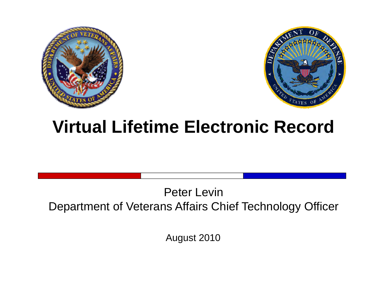



# **Virtual Lifetime Electronic Record**

#### Peter LevinDepartment of Veterans Affairs Chief Technology Officer

August 2010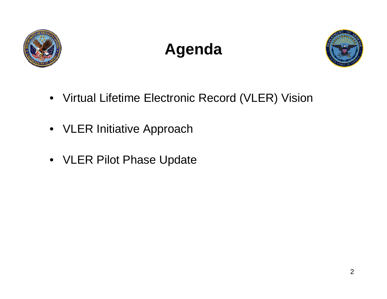

# **Agenda**



- Virtual Lifetime Electronic Record (VLER) Vision
- VLER Initiative Approach
- VLER Pilot Phase Update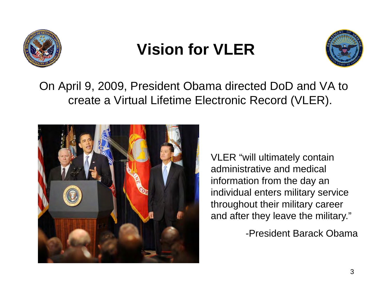

## **Vision for VLER**



On April 9, 2009, President Obama directed DoD and VA to create a Virtual Lifetime Electronic Record (VLER).



VLER "will ultimately contain administrative and medical information from the day an individual enters military service throughout their military career and after they leave the military."

-President Barack Obama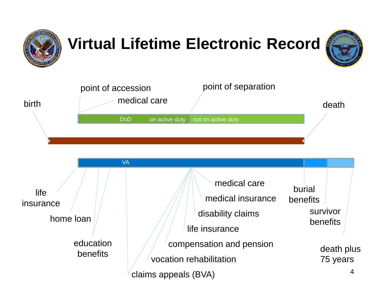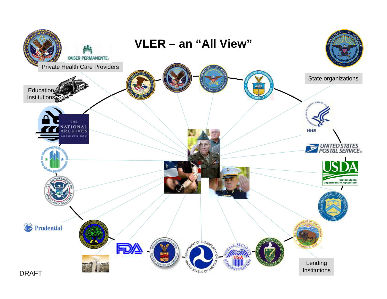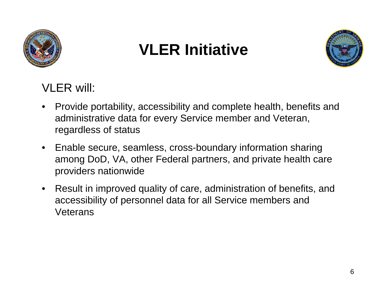

#### **VLER Initiative**



VLER will:

- • Provide portability, accessibility and complete health, benefits and administrative data for every Service member and Veteran, regardless of status
- $\bullet$  Enable secure, seamless, cross-boundary information sharing among DoD, VA, other Federal partners, and private health care providers nationwide
- • Result in improved quality of care, administration of benefits, and accessibility of personnel data for all Service members and **Veterans**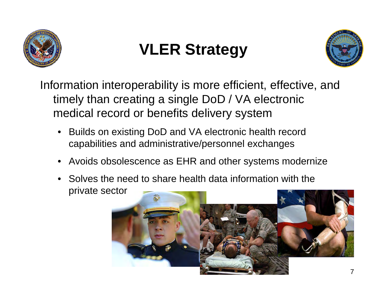

# **VLER Strategy**



Information interoperability is more efficient, effective, and timely than creating a single DoD / VA electronic medical record or benefits delivery system

- • Builds on existing DoD and VA electronic health record capabilities and administrative/personnel exchanges
- •Avoids obsolescence as EHR and other systems modernize
- • Solves the need to share health data information with the private sector

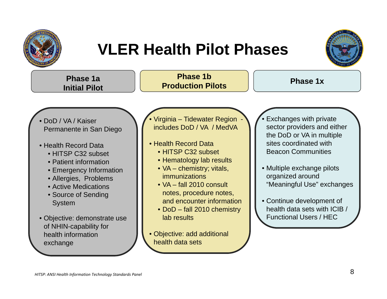

### **VLER Health Pilot Phases**



| Phase 1a<br><b>Initial Pilot</b>                                                                                                                                                                                                                                                                                                      | <b>Phase 1b</b><br><b>Production Pilots</b>                                                                                                                                                                                                                                                                                                                                    | <b>Phase 1x</b>                                                                                                                                                                                                                                                                                                         |
|---------------------------------------------------------------------------------------------------------------------------------------------------------------------------------------------------------------------------------------------------------------------------------------------------------------------------------------|--------------------------------------------------------------------------------------------------------------------------------------------------------------------------------------------------------------------------------------------------------------------------------------------------------------------------------------------------------------------------------|-------------------------------------------------------------------------------------------------------------------------------------------------------------------------------------------------------------------------------------------------------------------------------------------------------------------------|
| • DoD / VA / Kaiser<br>Permanente in San Diego<br>• Health Record Data<br>• HITSP C32 subset<br>• Patient information<br>• Emergency Information<br>• Allergies, Problems<br>• Active Medications<br>• Source of Sending<br><b>System</b><br>• Objective: demonstrate use<br>of NHIN-capability for<br>health information<br>exchange | · Virginia - Tidewater Region<br>includes DoD / VA / MedVA<br>• Health Record Data<br>• HITSP C32 subset<br>• Hematology lab results<br>• VA – chemistry; vitals,<br><i>immunizations</i><br>• VA - fall 2010 consult<br>notes, procedure notes,<br>and encounter information<br>• DoD – fall 2010 chemistry<br>lab results<br>• Objective: add additional<br>health data sets | Exchanges with private<br>sector providers and either<br>the DoD or VA in multiple<br>sites coordinated with<br><b>Beacon Communities</b><br>• Multiple exchange pilots<br>organized around<br>"Meaningful Use" exchanges<br>• Continue development of<br>health data sets with ICIB /<br><b>Functional Users / HEC</b> |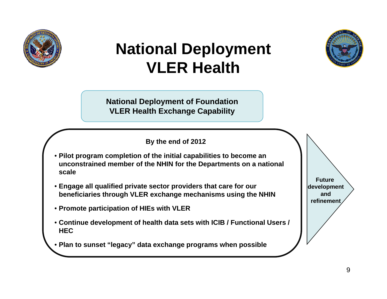

# **National Deployment VLER Health**



**National Deployment of Foundation VLER Health Exchange Capability**

**By the end of 2012**

- **Pilot program completion of the initial capabilities to become an unconstrained member of the NHIN for the Departments on a national scale**
- **Engage all qualified private sector providers that care for our beneficiaries through VLER exchange mechanisms using the NHIN**
- **Promote participation of HIEs with VLER**
- **Continue development of health data sets with ICIB / Functional Users / HEC**
- Plan to sunset "legacy" data exchange programs when possible

**Future development andrefinement**